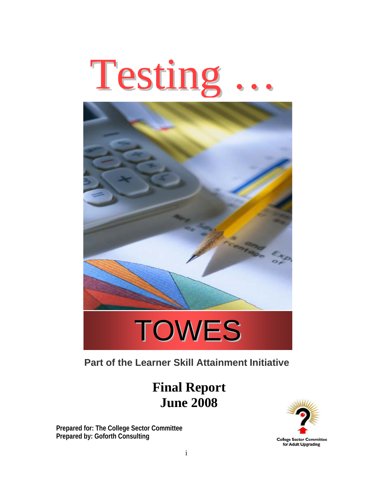



# **Part of the Learner Skill Attainment Initiative**

 **Final Report June 2008** 

**Prepared for: The College Sector Committee Prepared by: Goforth Consulting** 

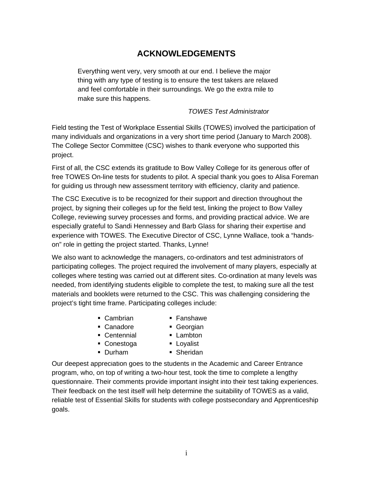## **ACKNOWLEDGEMENTS**

Everything went very, very smooth at our end. I believe the major thing with any type of testing is to ensure the test takers are relaxed and feel comfortable in their surroundings. We go the extra mile to make sure this happens.

#### *TOWES Test Administrator*

Field testing the Test of Workplace Essential Skills (TOWES) involved the participation of many individuals and organizations in a very short time period (January to March 2008). The College Sector Committee (CSC) wishes to thank everyone who supported this project.

First of all, the CSC extends its gratitude to Bow Valley College for its generous offer of free TOWES On-line tests for students to pilot. A special thank you goes to Alisa Foreman for guiding us through new assessment territory with efficiency, clarity and patience.

The CSC Executive is to be recognized for their support and direction throughout the project, by signing their colleges up for the field test, linking the project to Bow Valley College, reviewing survey processes and forms, and providing practical advice. We are especially grateful to Sandi Hennessey and Barb Glass for sharing their expertise and experience with TOWES. The Executive Director of CSC, Lynne Wallace, took a "handson" role in getting the project started. Thanks, Lynne!

We also want to acknowledge the managers, co-ordinators and test administrators of participating colleges. The project required the involvement of many players, especially at colleges where testing was carried out at different sites. Co-ordination at many levels was needed, from identifying students eligible to complete the test, to making sure all the test materials and booklets were returned to the CSC. This was challenging considering the project's tight time frame. Participating colleges include:

- Cambrian
- Fanshawe
- Canadore
- Georgian
- **Centennial**
- **Lambton**
- Conestoga
- **Loyalist**
- Durham
- **Sheridan**

Our deepest appreciation goes to the students in the Academic and Career Entrance program, who, on top of writing a two-hour test, took the time to complete a lengthy questionnaire. Their comments provide important insight into their test taking experiences. Their feedback on the test itself will help determine the suitability of TOWES as a valid, reliable test of Essential Skills for students with college postsecondary and Apprenticeship goals.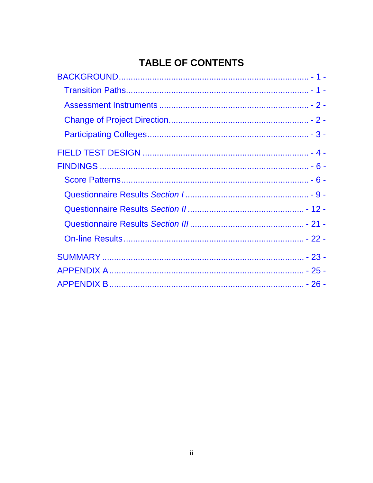# **TABLE OF CONTENTS**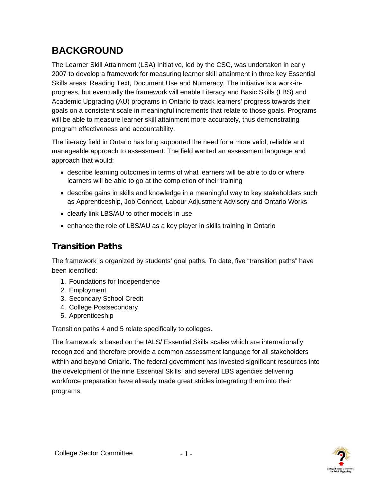# <span id="page-3-0"></span>**BACKGROUND**

The Learner Skill Attainment (LSA) Initiative, led by the CSC, was undertaken in early 2007 to develop a framework for measuring learner skill attainment in three key Essential Skills areas: Reading Text, Document Use and Numeracy. The initiative is a work-inprogress, but eventually the framework will enable Literacy and Basic Skills (LBS) and Academic Upgrading (AU) programs in Ontario to track learners' progress towards their goals on a consistent scale in meaningful increments that relate to those goals. Programs will be able to measure learner skill attainment more accurately, thus demonstrating program effectiveness and accountability.

The literacy field in Ontario has long supported the need for a more valid, reliable and manageable approach to assessment. The field wanted an assessment language and approach that would:

- describe learning outcomes in terms of what learners will be able to do or where learners will be able to go at the completion of their training
- describe gains in skills and knowledge in a meaningful way to key stakeholders such as Apprenticeship, Job Connect, Labour Adjustment Advisory and Ontario Works
- clearly link LBS/AU to other models in use
- enhance the role of LBS/AU as a key player in skills training in Ontario

## **Transition Paths**

The framework is organized by students' goal paths. To date, five "transition paths" have been identified:

- 1. Foundations for Independence
- 2. Employment
- 3. Secondary School Credit
- 4. College Postsecondary
- 5. Apprenticeship

Transition paths 4 and 5 relate specifically to colleges.

The framework is based on the IALS/ Essential Skills scales which are internationally recognized and therefore provide a common assessment language for all stakeholders within and beyond Ontario. The federal government has invested significant resources into the development of the nine Essential Skills, and several LBS agencies delivering workforce preparation have already made great strides integrating them into their programs.

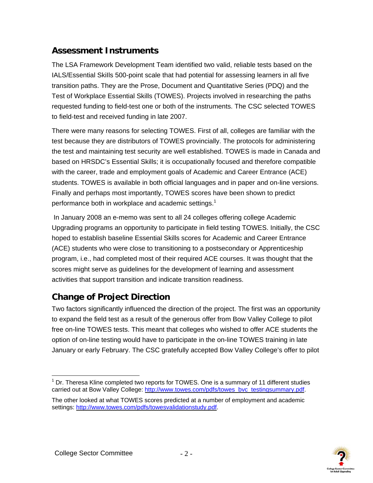## <span id="page-4-0"></span>**Assessment Instruments**

The LSA Framework Development Team identified two valid, reliable tests based on the IALS/Essential SkiIls 500-point scale that had potential for assessing learners in all five transition paths. They are the Prose, Document and Quantitative Series (PDQ) and the Test of Workplace Essential Skills (TOWES). Projects involved in researching the paths requested funding to field-test one or both of the instruments. The CSC selected TOWES to field-test and received funding in late 2007.

There were many reasons for selecting TOWES. First of all, colleges are familiar with the test because they are distributors of TOWES provincially. The protocols for administering the test and maintaining test security are well established. TOWES is made in Canada and based on HRSDC's Essential Skills; it is occupationally focused and therefore compatible with the career, trade and employment goals of Academic and Career Entrance (ACE) students. TOWES is available in both official languages and in paper and on-line versions. Finally and perhaps most importantly, TOWES scores have been shown to predict performance both in workplace and academic settings.<sup>1</sup>

 In January 2008 an e-memo was sent to all 24 colleges offering college Academic Upgrading programs an opportunity to participate in field testing TOWES. Initially, the CSC hoped to establish baseline Essential Skills scores for Academic and Career Entrance (ACE) students who were close to transitioning to a postsecondary or Apprenticeship program, i.e., had completed most of their required ACE courses. It was thought that the scores might serve as guidelines for the development of learning and assessment activities that support transition and indicate transition readiness.

## **Change of Project Direction**

Two factors significantly influenced the direction of the project. The first was an opportunity to expand the field test as a result of the generous offer from Bow Valley College to pilot free on-line TOWES tests. This meant that colleges who wished to offer ACE students the option of on-line testing would have to participate in the on-line TOWES training in late January or early February. The CSC gratefully accepted Bow Valley College's offer to pilot



<sup>&</sup>lt;u>.</u>  $1$  Dr. Theresa Kline completed two reports for TOWES. One is a summary of 11 different studies carried out at Bow Valley College: http://www.towes.com/pdfs/towes\_bvc\_testingsummary.pdf.

The other looked at what TOWES scores predicted at a number of employment and academic settings: http://www.towes.com/pdfs/towesvalidationstudy.pdf.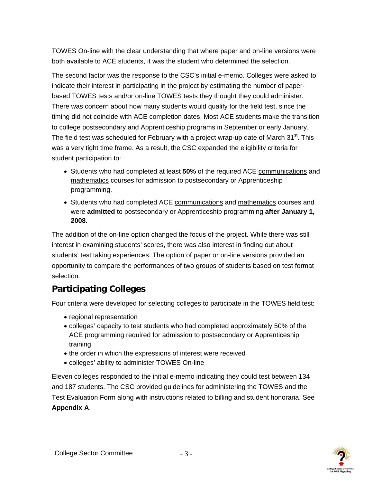<span id="page-5-0"></span>TOWES On-line with the clear understanding that where paper and on-line versions were both available to ACE students, it was the student who determined the selection.

The second factor was the response to the CSC's initial e-memo. Colleges were asked to indicate their interest in participating in the project by estimating the number of paperbased TOWES tests and/or on-line TOWES tests they thought they could administer. There was concern about how many students would qualify for the field test, since the timing did not coincide with ACE completion dates. Most ACE students make the transition to college postsecondary and Apprenticeship programs in September or early January. The field test was scheduled for February with a project wrap-up date of March 31<sup>st</sup>. This was a very tight time frame. As a result, the CSC expanded the eligibility criteria for student participation to:

- Students who had completed at least **50%** of the required ACE communications and mathematics courses for admission to postsecondary or Apprenticeship programming.
- Students who had completed ACE communications and mathematics courses and were **admitted** to postsecondary or Apprenticeship programming **after January 1, 2008.**

The addition of the on-line option changed the focus of the project. While there was still interest in examining students' scores, there was also interest in finding out about students' test taking experiences. The option of paper or on-line versions provided an opportunity to compare the performances of two groups of students based on test format selection.

# **Participating Colleges**

Four criteria were developed for selecting colleges to participate in the TOWES field test:

- regional representation
- colleges' capacity to test students who had completed approximately 50% of the ACE programming required for admission to postsecondary or Apprenticeship training
- the order in which the expressions of interest were received
- colleges' ability to administer TOWES On-line

Eleven colleges responded to the initial e-memo indicating they could test between 134 and 187 students. The CSC provided guidelines for administering the TOWES and the Test Evaluation Form along with instructions related to billing and student honoraria. See **Appendix A**.

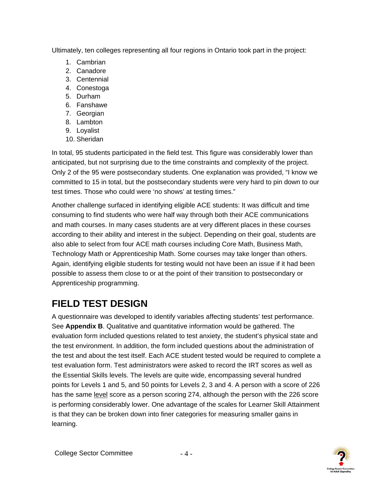<span id="page-6-0"></span>Ultimately, ten colleges representing all four regions in Ontario took part in the project:

- 1. Cambrian
- 2. Canadore
- 3. Centennial
- 4. Conestoga
- 5. Durham
- 6. Fanshawe
- 7. Georgian
- 8. Lambton
- 9. Loyalist
- 10. Sheridan

In total, 95 students participated in the field test. This figure was considerably lower than anticipated, but not surprising due to the time constraints and complexity of the project. Only 2 of the 95 were postsecondary students. One explanation was provided, "I know we committed to 15 in total, but the postsecondary students were very hard to pin down to our test times. Those who could were 'no shows' at testing times."

Another challenge surfaced in identifying eligible ACE students: It was difficult and time consuming to find students who were half way through both their ACE communications and math courses. In many cases students are at very different places in these courses according to their ability and interest in the subject. Depending on their goal, students are also able to select from four ACE math courses including Core Math, Business Math, Technology Math or Apprenticeship Math. Some courses may take longer than others. Again, identifying eligible students for testing would not have been an issue if it had been possible to assess them close to or at the point of their transition to postsecondary or Apprenticeship programming.

# **FIELD TEST DESIGN**

A questionnaire was developed to identify variables affecting students' test performance. See **Appendix B**. Qualitative and quantitative information would be gathered. The evaluation form included questions related to test anxiety, the student's physical state and the test environment. In addition, the form included questions about the administration of the test and about the test itself. Each ACE student tested would be required to complete a test evaluation form. Test administrators were asked to record the IRT scores as well as the Essential Skills levels. The levels are quite wide, encompassing several hundred points for Levels 1 and 5, and 50 points for Levels 2, 3 and 4. A person with a score of 226 has the same level score as a person scoring 274, although the person with the 226 score is performing considerably lower. One advantage of the scales for Learner Skill Attainment is that they can be broken down into finer categories for measuring smaller gains in learning.

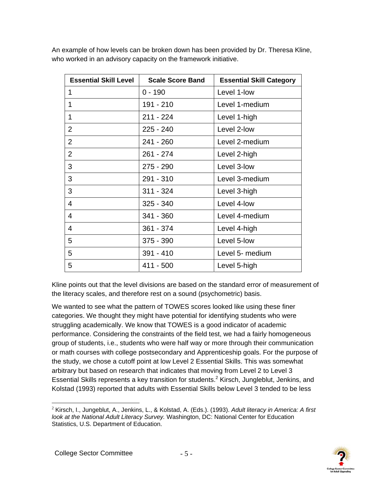| <b>Essential Skill Level</b> | <b>Scale Score Band</b> | <b>Essential Skill Category</b> |
|------------------------------|-------------------------|---------------------------------|
| 1                            | $0 - 190$               | Level 1-low                     |
| 1                            | 191 - 210               | Level 1-medium                  |
| 1                            | $211 - 224$             | Level 1-high                    |
| $\overline{2}$               | 225 - 240               | Level 2-low                     |
| $\overline{2}$               | $241 - 260$             | Level 2-medium                  |
| $\overline{2}$               | $261 - 274$             | Level 2-high                    |
| 3                            | 275 - 290               | Level 3-low                     |
| 3                            | $291 - 310$             | Level 3-medium                  |
| 3                            | $311 - 324$             | Level 3-high                    |
| 4                            | $325 - 340$             | Level 4-low                     |
| 4                            | 341 - 360               | Level 4-medium                  |
| 4                            | 361 - 374               | Level 4-high                    |
| 5                            | $375 - 390$             | Level 5-low                     |
| 5                            | $391 - 410$             | Level 5- medium                 |
| 5                            | 411 - 500               | Level 5-high                    |

An example of how levels can be broken down has been provided by Dr. Theresa Kline, who worked in an advisory capacity on the framework initiative.

Kline points out that the level divisions are based on the standard error of measurement of the literacy scales, and therefore rest on a sound (psychometric) basis.

We wanted to see what the pattern of TOWES scores looked like using these finer categories. We thought they might have potential for identifying students who were struggling academically. We know that TOWES is a good indicator of academic performance. Considering the constraints of the field test, we had a fairly homogeneous group of students, i.e., students who were half way or more through their communication or math courses with college postsecondary and Apprenticeship goals. For the purpose of the study, we chose a cutoff point at low Level 2 Essential Skills. This was somewhat arbitrary but based on research that indicates that moving from Level 2 to Level 3 Essential Skills represents a key transition for students.<sup>2</sup> Kirsch, Jungleblut, Jenkins, and Kolstad (1993) reported that adults with Essential Skills below Level 3 tended to be less

<sup>1</sup> <sup>2</sup> Kirsch, I., Jungeblut, A., Jenkins, L., & Kolstad, A. (Eds.). (1993). *Adult literacy in America: A first look at the National Adult Literacy Survey.* Washington, DC: National Center for Education Statistics, U.S. Department of Education.

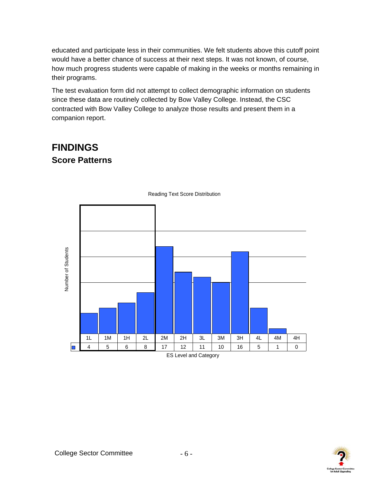<span id="page-8-0"></span>educated and participate less in their communities. We felt students above this cutoff point would have a better chance of success at their next steps. It was not known, of course, how much progress students were capable of making in the weeks or months remaining in their programs.

The test evaluation form did not attempt to collect demographic information on students since these data are routinely collected by Bow Valley College. Instead, the CSC contracted with Bow Valley College to analyze those results and present them in a companion report.

# **FINDINGS Score Patterns**



Reading Text Score Distribution

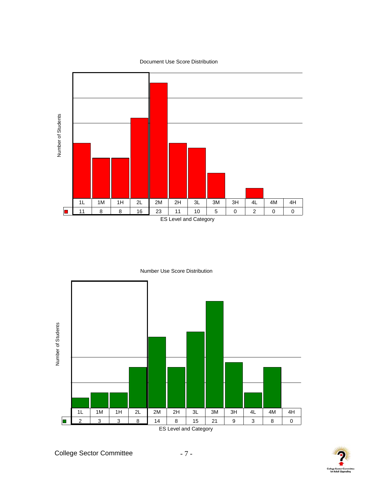Document Use Score Distribution



Number Use Score Distribution



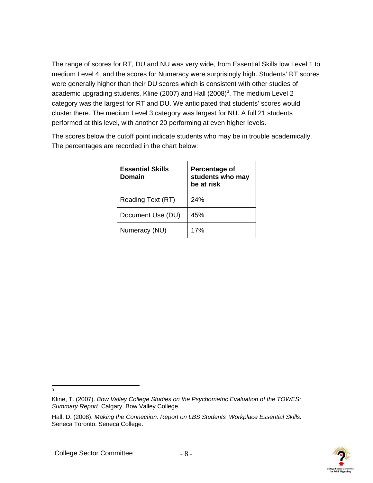The range of scores for RT, DU and NU was very wide, from Essential Skills low Level 1 to medium Level 4, and the scores for Numeracy were surprisingly high. Students' RT scores were generally higher than their DU scores which is consistent with other studies of academic upgrading students, Kline (2007) and Hall (2008)<sup>3</sup>. The medium Level 2 category was the largest for RT and DU. We anticipated that students' scores would cluster there. The medium Level 3 category was largest for NU. A full 21 students performed at this level, with another 20 performing at even higher levels.

The scores below the cutoff point indicate students who may be in trouble academically. The percentages are recorded in the chart below:

| <b>Essential Skills</b><br>Domain | Percentage of<br>students who may<br>be at risk |
|-----------------------------------|-------------------------------------------------|
| Reading Text (RT)                 | 24%                                             |
| Document Use (DU)                 | 45%                                             |
| Numeracy (NU)                     | 17%                                             |



-<br>3

Kline, T. (2007). *Bow Valley College Studies on the Psychometric Evaluation of the TOWES: Summary Report*. Calgary. Bow Valley College.

Hall, D. (2008). *Making the Connection: Report on LBS Students' Workplace Essential Skills.* Seneca Toronto. Seneca College.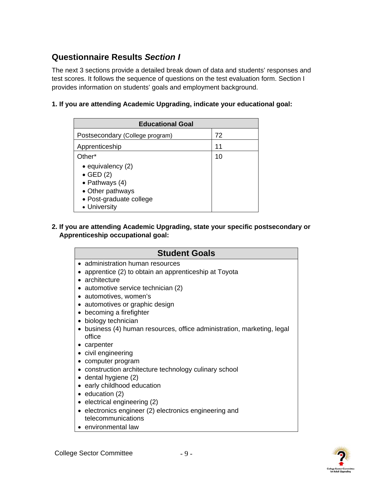## <span id="page-11-0"></span>**Questionnaire Results** *Section I*

The next 3 sections provide a detailed break down of data and students' responses and test scores. It follows the sequence of questions on the test evaluation form. Section I provides information on students' goals and employment background.

### **1. If you are attending Academic Upgrading, indicate your educational goal:**

| <b>Educational Goal</b>                                                                                                           |    |  |
|-----------------------------------------------------------------------------------------------------------------------------------|----|--|
| Postsecondary (College program)                                                                                                   | 72 |  |
| Apprenticeship                                                                                                                    | 11 |  |
| Other*                                                                                                                            | 10 |  |
| $\bullet$ equivalency (2)<br>$\bullet$ GED (2)<br>• Pathways $(4)$<br>• Other pathways<br>• Post-graduate college<br>• University |    |  |

### **2. If you are attending Academic Upgrading, state your specific postsecondary or Apprenticeship occupational goal:**

| <b>Student Goals</b>                                                                                         |
|--------------------------------------------------------------------------------------------------------------|
| • administration human resources<br>apprentice (2) to obtain an apprenticeship at Toyota<br>• architecture   |
| automotive service technician (2)                                                                            |
| • automotives, women's<br>• automotives or graphic design                                                    |
| becoming a firefighter<br>$\bullet$<br>• biology technician                                                  |
| business (4) human resources, office administration, marketing, legal<br>office                              |
| • carpenter<br>• civil engineering                                                                           |
| • computer program<br>• construction architecture technology culinary school                                 |
| • dental hygiene (2)                                                                                         |
| • early childhood education<br>$\bullet$ education (2)                                                       |
| • electrical engineering (2)<br>• electronics engineer (2) electronics engineering and<br>telecommunications |

**•** environmental law

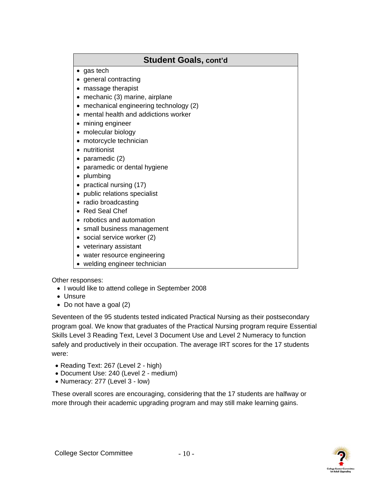## **Student Goals, cont'd**

- gas tech
- general contracting
- massage therapist
- mechanic (3) marine, airplane
- mechanical engineering technology (2)
- mental health and addictions worker
- mining engineer
- molecular biology
- motorcycle technician
- nutritionist
- paramedic (2)
- paramedic or dental hygiene
- plumbing
- practical nursing (17)
- public relations specialist
- radio broadcasting
- Red Seal Chef
- robotics and automation
- small business management
- social service worker (2)
- veterinary assistant
- water resource engineering
- welding engineer technician

### Other responses:

- I would like to attend college in September 2008
- Unsure
- Do not have a goal (2)

Seventeen of the 95 students tested indicated Practical Nursing as their postsecondary program goal. We know that graduates of the Practical Nursing program require Essential Skills Level 3 Reading Text, Level 3 Document Use and Level 2 Numeracy to function safely and productively in their occupation. The average IRT scores for the 17 students were:

- Reading Text: 267 (Level 2 high)
- Document Use: 240 (Level 2 medium)
- Numeracy: 277 (Level 3 low)

These overall scores are encouraging, considering that the 17 students are halfway or more through their academic upgrading program and may still make learning gains.

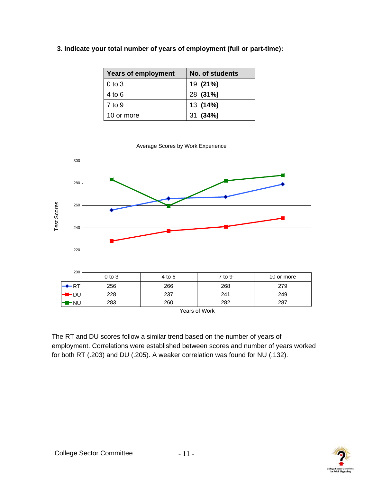| <b>Years of employment</b> | No. of students |
|----------------------------|-----------------|
| $0$ to $3$                 | 19 (21%)        |
| 4 to 6                     | 28 (31%)        |
| 7 to 9                     | 13 (14%)        |
| 10 or more                 | 31 (34%)        |







The RT and DU scores follow a similar trend based on the number of years of employment. Correlations were established between scores and number of years worked for both RT (.203) and DU (.205). A weaker correlation was found for NU (.132).

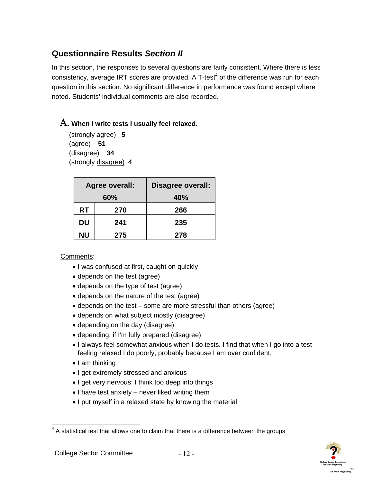## <span id="page-14-0"></span>**Questionnaire Results** *Section II*

In this section, the responses to several questions are fairly consistent. Where there is less consistency, average IRT scores are provided. A T-test<sup>4</sup> of the difference was run for each question in this section. No significant difference in performance was found except where noted. Students' individual comments are also recorded.

## A. **When I write tests I usually feel relaxed.**

(strongly agree) **5**  (agree) **51** (disagree) **34**  (strongly disagree) **4** 

|    | Agree overall: | Disagree overall: |
|----|----------------|-------------------|
|    | 60%            | 40%               |
| RT | 270            | 266               |
| DU | 241            | 235               |
| ΝU | 275            | 278               |

- I was confused at first, caught on quickly
- depends on the test (agree)
- depends on the type of test (agree)
- depends on the nature of the test (agree)
- depends on the test some are more stressful than others (agree)
- depends on what subject mostly (disagree)
- depending on the day (disagree)
- depending, if I'm fully prepared (disagree)
- I always feel somewhat anxious when I do tests. I find that when I go into a test feeling relaxed I do poorly, probably because I am over confident.
- I am thinking
- I get extremely stressed and anxious
- I get very nervous; I think too deep into things
- I have test anxiety never liked writing them
- I put myself in a relaxed state by knowing the material



<sup>————————————————————&</sup>lt;br><sup>4</sup> A statistical test that allows one to claim that there is a difference between the groups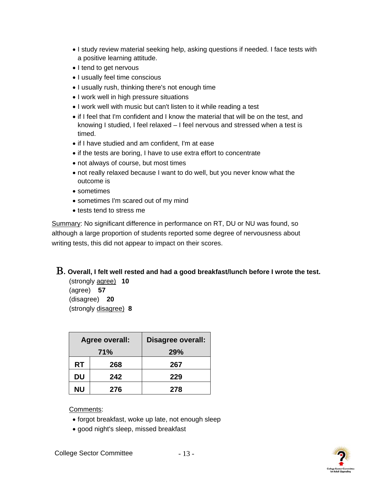- I study review material seeking help, asking questions if needed. I face tests with a positive learning attitude.
- I tend to get nervous
- I usually feel time conscious
- I usually rush, thinking there's not enough time
- I work well in high pressure situations
- I work well with music but can't listen to it while reading a test
- if I feel that I'm confident and I know the material that will be on the test, and knowing I studied, I feel relaxed – I feel nervous and stressed when a test is timed.
- if I have studied and am confident, I'm at ease
- if the tests are boring, I have to use extra effort to concentrate
- not always of course, but most times
- not really relaxed because I want to do well, but you never know what the outcome is
- sometimes
- sometimes I'm scared out of my mind
- tests tend to stress me

Summary: No significant difference in performance on RT, DU or NU was found, so although a large proportion of students reported some degree of nervousness about writing tests, this did not appear to impact on their scores.

## B. **Overall, I felt well rested and had a good breakfast/lunch before I wrote the test.**

(strongly agree) **10**  (agree) **57** (disagree) **20**  (strongly disagree) **8**

|           | Agree overall: | Disagree overall: |
|-----------|----------------|-------------------|
| 71%       |                | <b>29%</b>        |
| RT        | 268            | 267               |
| DU        | 242            | 229               |
| <b>NU</b> | 276            | 278               |

- forgot breakfast, woke up late, not enough sleep
- good night's sleep, missed breakfast

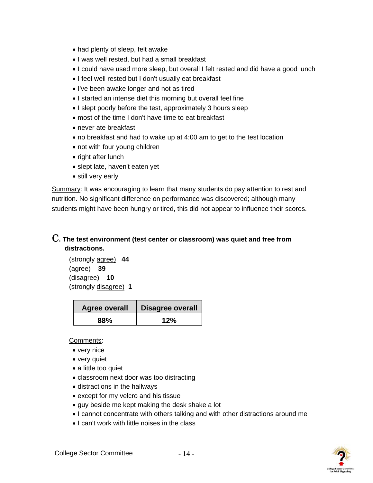- had plenty of sleep, felt awake
- I was well rested, but had a small breakfast
- I could have used more sleep, but overall I felt rested and did have a good lunch
- I feel well rested but I don't usually eat breakfast
- I've been awake longer and not as tired
- I started an intense diet this morning but overall feel fine
- I slept poorly before the test, approximately 3 hours sleep
- most of the time I don't have time to eat breakfast
- never ate breakfast
- no breakfast and had to wake up at 4:00 am to get to the test location
- not with four young children
- right after lunch
- slept late, haven't eaten yet
- still very early

Summary: It was encouraging to learn that many students do pay attention to rest and nutrition. No significant difference on performance was discovered; although many students might have been hungry or tired, this did not appear to influence their scores.

## C**. The test environment (test center or classroom) was quiet and free from distractions.**

(strongly agree) **44**  (agree) **39** (disagree) **10**  (strongly disagree) **1** 

| <b>Agree overall</b> | <b>Disagree overall</b> |
|----------------------|-------------------------|
| 88%                  | 12%                     |

- very nice
- very quiet
- a little too quiet
- classroom next door was too distracting
- distractions in the hallways
- except for my velcro and his tissue
- guy beside me kept making the desk shake a lot
- I cannot concentrate with others talking and with other distractions around me
- I can't work with little noises in the class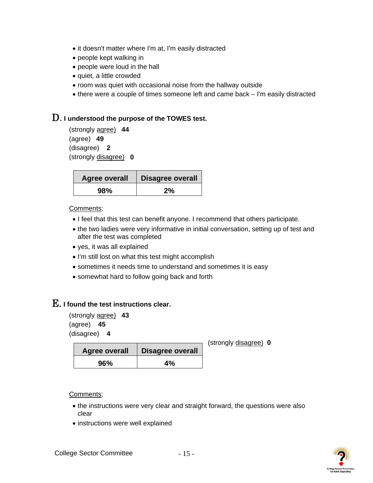- it doesn't matter where I'm at, I'm easily distracted
- people kept walking in
- people were loud in the hall
- quiet, a little crowded
- room was quiet with occasional noise from the hallway outside
- there were a couple of times someone left and came back I'm easily distracted

## D. **I understood the purpose of the TOWES test.**

(strongly agree) **44** (agree) **49** (disagree) **2**  (strongly disagree) **0** 

| <b>Agree overall</b> | <b>Disagree overall</b> |
|----------------------|-------------------------|
| 98%                  | 2%                      |

#### Comments:

- I feel that this test can benefit anyone. I recommend that others participate.
- the two ladies were very informative in initial conversation, setting up of test and after the test was completed
- yes, it was all explained
- I'm still lost on what this test might accomplish
- sometimes it needs time to understand and sometimes it is easy
- somewhat hard to follow going back and forth

## E. **I found the test instructions clear.**

(strongly agree) **43**  (agree) **45** (disagree) **4** 

| <b>Agree overall</b> | <b>Disagree overall</b> |
|----------------------|-------------------------|
| 96%                  | 4%                      |

(strongly disagree) **0**

- the instructions were very clear and straight forward, the questions were also clear
- instructions were well explained

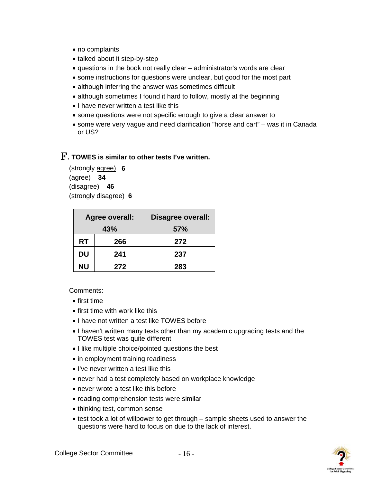- no complaints
- talked about it step-by-step
- questions in the book not really clear administrator's words are clear
- some instructions for questions were unclear, but good for the most part
- although inferring the answer was sometimes difficult
- although sometimes I found it hard to follow, mostly at the beginning
- I have never written a test like this
- some questions were not specific enough to give a clear answer to
- some were very vague and need clarification "horse and cart" was it in Canada or US?

## F. **TOWES is similar to other tests I've written.**

(strongly agree) **6**  (agree) **34** (disagree) **46**  (strongly disagree) **6** 

|           | Agree overall: | Disagree overall: |
|-----------|----------------|-------------------|
| 43%       |                | <b>57%</b>        |
| RT        | 266            | 272               |
| DU        | 241            | 237               |
| <b>NU</b> | 272            | 283               |

- first time
- first time with work like this
- I have not written a test like TOWES before
- I haven't written many tests other than my academic upgrading tests and the TOWES test was quite different
- I like multiple choice/pointed questions the best
- in employment training readiness
- I've never written a test like this
- never had a test completely based on workplace knowledge
- never wrote a test like this before
- reading comprehension tests were similar
- thinking test, common sense
- test took a lot of willpower to get through sample sheets used to answer the questions were hard to focus on due to the lack of interest.

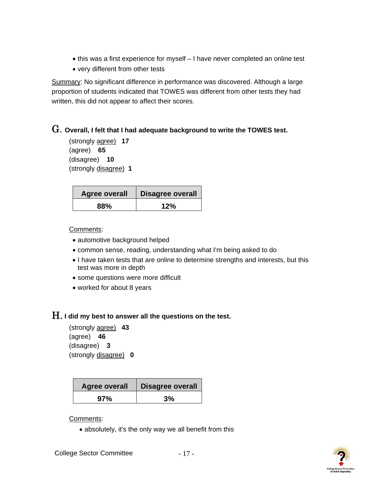- this was a first experience for myself I have never completed an online test
- very different from other tests

Summary: No significant difference in performance was discovered. Although a large proportion of students indicated that TOWES was different from other tests they had written, this did not appear to affect their scores.

### G. **Overall, I felt that I had adequate background to write the TOWES test.**

```
(strongly agree) 17 
(agree) 65 
(disagree) 10 
(strongly disagree) 1
```

| <b>Agree overall</b> | <b>Disagree overall</b> |
|----------------------|-------------------------|
| 88%                  | 12%                     |

Comments:

- automotive background helped
- common sense, reading, understanding what I'm being asked to do
- I have taken tests that are online to determine strengths and interests, but this test was more in depth
- some questions were more difficult
- worked for about 8 years

## H. **I did my best to answer all the questions on the test.**

(strongly agree) **43**  (agree) **46** (disagree) **3** (strongly disagree) **0** 

| <b>Agree overall</b> | <b>Disagree overall</b> |
|----------------------|-------------------------|
| 97%                  | 3%                      |

### Comments:

• absolutely, it's the only way we all benefit from this

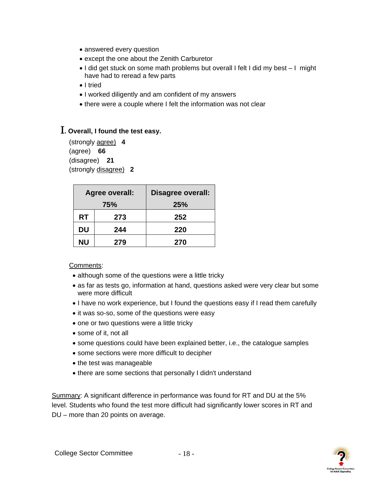- answered every question
- except the one about the Zenith Carburetor
- I did get stuck on some math problems but overall I felt I did my best I might have had to reread a few parts
- I tried
- I worked diligently and am confident of my answers
- there were a couple where I felt the information was not clear

## I**. Overall, I found the test easy.**

(strongly agree) **4**  (agree) **66** (disagree) **21** (strongly disagree) **2** 

| Agree overall: |     | <b>Disagree overall:</b> |  |
|----------------|-----|--------------------------|--|
| 75%            |     | <b>25%</b>               |  |
| <b>RT</b>      | 273 | 252                      |  |
| DU             | 244 | 220                      |  |
| ΝU             | 279 | 270                      |  |

#### Comments:

- although some of the questions were a little tricky
- as far as tests go, information at hand, questions asked were very clear but some were more difficult
- I have no work experience, but I found the questions easy if I read them carefully
- it was so-so, some of the questions were easy
- one or two questions were a little tricky
- some of it, not all
- some questions could have been explained better, i.e., the catalogue samples
- some sections were more difficult to decipher
- the test was manageable
- there are some sections that personally I didn't understand

Summary: A significant difference in performance was found for RT and DU at the 5% level. Students who found the test more difficult had significantly lower scores in RT and DU – more than 20 points on average.

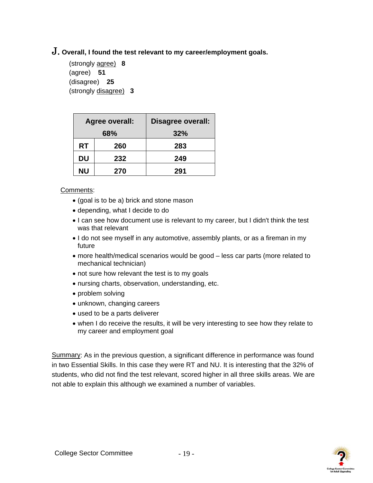## J. **Overall, I found the test relevant to my career/employment goals.**

(strongly agree) **8**  (agree) **51** (disagree) **25** (strongly disagree) **3** 

| Agree overall: |     | <b>Disagree overall:</b> |  |
|----------------|-----|--------------------------|--|
| 68%            |     | 32%                      |  |
| <b>RT</b>      | 260 | 283                      |  |
| DU             | 232 | 249                      |  |
| <b>NU</b>      | 270 | 291                      |  |

Comments:

- (goal is to be a) brick and stone mason
- depending, what I decide to do
- I can see how document use is relevant to my career, but I didn't think the test was that relevant
- I do not see myself in any automotive, assembly plants, or as a fireman in my future
- more health/medical scenarios would be good less car parts (more related to mechanical technician)
- not sure how relevant the test is to my goals
- nursing charts, observation, understanding, etc.
- problem solving
- unknown, changing careers
- used to be a parts deliverer
- when I do receive the results, it will be very interesting to see how they relate to my career and employment goal

Summary: As in the previous question, a significant difference in performance was found in two Essential Skills. In this case they were RT and NU. It is interesting that the 32% of students, who did not find the test relevant, scored higher in all three skills areas. We are not able to explain this although we examined a number of variables.

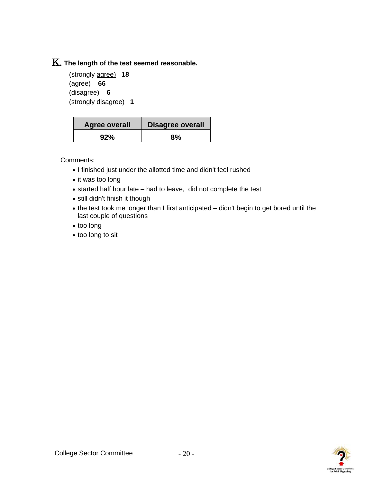# K. **The length of the test seemed reasonable.**

(strongly agree) **18**  (agree) **66** (disagree) **6** (strongly disagree) **1** 

| <b>Agree overall</b> | <b>Disagree overall</b> |
|----------------------|-------------------------|
| 92%                  | 8%                      |

- I finished just under the allotted time and didn't feel rushed
- it was too long
- started half hour late had to leave, did not complete the test
- still didn't finish it though
- the test took me longer than I first anticipated didn't begin to get bored until the last couple of questions
- too long
- too long to sit

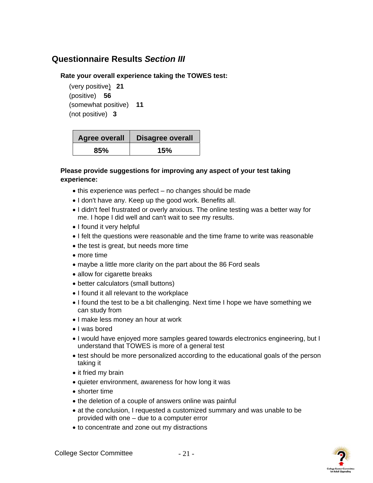## <span id="page-23-0"></span>**Questionnaire Results** *Section III*

#### **Rate your overall experience taking the TOWES test:**

(very positive) **21**  (positive) **56** (somewhat positive) **11** (not positive) **3** 

| <b>Agree overall</b> | <b>Disagree overall</b> |
|----------------------|-------------------------|
| 85%                  | 15%                     |

#### **Please provide suggestions for improving any aspect of your test taking experience:**

- this experience was perfect no changes should be made
- I don't have any. Keep up the good work. Benefits all.
- I didn't feel frustrated or overly anxious. The online testing was a better way for me. I hope I did well and can't wait to see my results.
- I found it very helpful
- I felt the questions were reasonable and the time frame to write was reasonable
- the test is great, but needs more time
- more time
- maybe a little more clarity on the part about the 86 Ford seals
- allow for cigarette breaks
- better calculators (small buttons)
- I found it all relevant to the workplace
- I found the test to be a bit challenging. Next time I hope we have something we can study from
- I make less money an hour at work
- I was bored
- I would have enjoyed more samples geared towards electronics engineering, but I understand that TOWES is more of a general test
- test should be more personalized according to the educational goals of the person taking it
- it fried my brain
- quieter environment, awareness for how long it was
- shorter time
- the deletion of a couple of answers online was painful
- at the conclusion, I requested a customized summary and was unable to be provided with one – due to a computer error
- to concentrate and zone out my distractions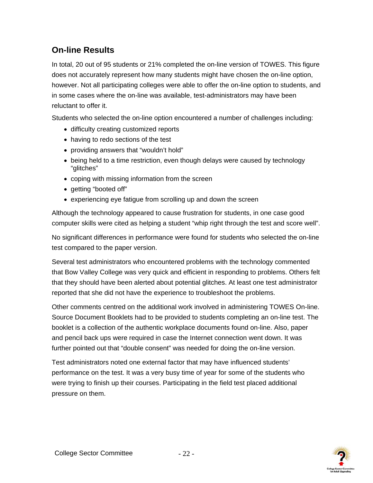# <span id="page-24-0"></span>**On-line Results**

In total, 20 out of 95 students or 21% completed the on-line version of TOWES. This figure does not accurately represent how many students might have chosen the on-line option, however. Not all participating colleges were able to offer the on-line option to students, and in some cases where the on-line was available, test-administrators may have been reluctant to offer it.

Students who selected the on-line option encountered a number of challenges including:

- difficulty creating customized reports
- having to redo sections of the test
- providing answers that "wouldn't hold"
- being held to a time restriction, even though delays were caused by technology "glitches"
- coping with missing information from the screen
- getting "booted off"
- experiencing eye fatigue from scrolling up and down the screen

Although the technology appeared to cause frustration for students, in one case good computer skills were cited as helping a student "whip right through the test and score well".

No significant differences in performance were found for students who selected the on-line test compared to the paper version.

Several test administrators who encountered problems with the technology commented that Bow Valley College was very quick and efficient in responding to problems. Others felt that they should have been alerted about potential glitches. At least one test administrator reported that she did not have the experience to troubleshoot the problems.

Other comments centred on the additional work involved in administering TOWES On-line. Source Document Booklets had to be provided to students completing an on-line test. The booklet is a collection of the authentic workplace documents found on-line. Also, paper and pencil back ups were required in case the Internet connection went down. It was further pointed out that "double consent" was needed for doing the on-line version.

Test administrators noted one external factor that may have influenced students' performance on the test. It was a very busy time of year for some of the students who were trying to finish up their courses. Participating in the field test placed additional pressure on them.

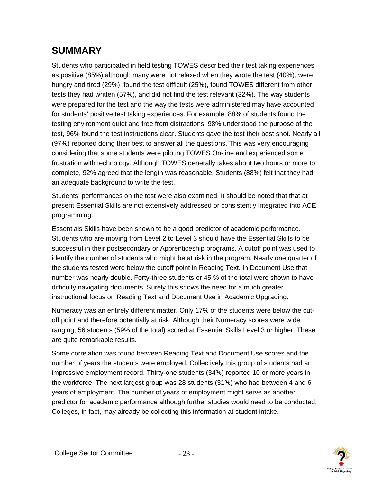# <span id="page-25-0"></span>**SUMMARY**

Students who participated in field testing TOWES described their test taking experiences as positive (85%) although many were not relaxed when they wrote the test (40%), were hungry and tired (29%), found the test difficult (25%), found TOWES different from other tests they had written (57%), and did not find the test relevant (32%). The way students were prepared for the test and the way the tests were administered may have accounted for students' positive test taking experiences. For example, 88% of students found the testing environment quiet and free from distractions, 98% understood the purpose of the test, 96% found the test instructions clear. Students gave the test their best shot. Nearly all (97%) reported doing their best to answer all the questions. This was very encouraging considering that some students were piloting TOWES On-line and experienced some frustration with technology. Although TOWES generally takes about two hours or more to complete, 92% agreed that the length was reasonable. Students (88%) felt that they had an adequate background to write the test.

Students' performances on the test were also examined. It should be noted that that at present Essential Skills are not extensively addressed or consistently integrated into ACE programming.

Essentials Skills have been shown to be a good predictor of academic performance. Students who are moving from Level 2 to Level 3 should have the Essential Skills to be successful in their postsecondary or Apprenticeship programs. A cutoff point was used to identify the number of students who might be at risk in the program. Nearly one quarter of the students tested were below the cutoff point in Reading Text. In Document Use that number was nearly double. Forty-three students or 45 % of the total were shown to have difficulty navigating documents. Surely this shows the need for a much greater instructional focus on Reading Text and Document Use in Academic Upgrading.

Numeracy was an entirely different matter. Only 17% of the students were below the cutoff point and therefore potentially at risk. Although their Numeracy scores were wide ranging, 56 students (59% of the total) scored at Essential Skills Level 3 or higher. These are quite remarkable results.

Some correlation was found between Reading Text and Document Use scores and the number of years the students were employed. Collectively this group of students had an impressive employment record. Thirty-one students (34%) reported 10 or more years in the workforce. The next largest group was 28 students (31%) who had between 4 and 6 years of employment. The number of years of employment might serve as another predictor for academic performance although further studies would need to be conducted. Colleges, in fact, may already be collecting this information at student intake.

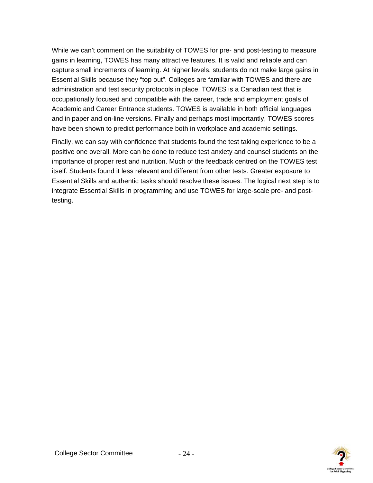While we can't comment on the suitability of TOWES for pre- and post-testing to measure gains in learning, TOWES has many attractive features. It is valid and reliable and can capture small increments of learning. At higher levels, students do not make large gains in Essential Skills because they "top out". Colleges are familiar with TOWES and there are administration and test security protocols in place. TOWES is a Canadian test that is occupationally focused and compatible with the career, trade and employment goals of Academic and Career Entrance students. TOWES is available in both official languages and in paper and on-line versions. Finally and perhaps most importantly, TOWES scores have been shown to predict performance both in workplace and academic settings.

Finally, we can say with confidence that students found the test taking experience to be a positive one overall. More can be done to reduce test anxiety and counsel students on the importance of proper rest and nutrition. Much of the feedback centred on the TOWES test itself. Students found it less relevant and different from other tests. Greater exposure to Essential Skills and authentic tasks should resolve these issues. The logical next step is to integrate Essential Skills in programming and use TOWES for large-scale pre- and posttesting.

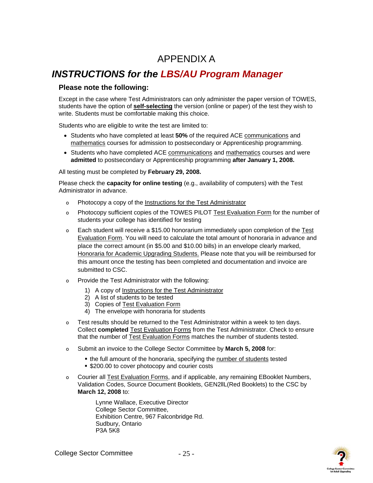# APPENDIX A

# <span id="page-27-0"></span>*INSTRUCTIONS for the LBS/AU Program Manager*

#### **Please note the following:**

Except in the case where Test Administrators can only administer the paper version of TOWES, students have the option of **self-selecting** the version (online or paper) of the test they wish to write. Students must be comfortable making this choice.

Students who are eligible to write the test are limited to:

- Students who have completed at least **50%** of the required ACE communications and mathematics courses for admission to postsecondary or Apprenticeship programming.
- Students who have completed ACE communications and mathematics courses and were **admitted** to postsecondary or Apprenticeship programming **after January 1, 2008.**

All testing must be completed by **February 29, 2008.** 

Please check the **capacity for online testing** (e.g., availability of computers) with the Test Administrator in advance.

- o Photocopy a copy of the Instructions for the Test Administrator
- o Photocopy sufficient copies of the TOWES PILOT Test Evaluation Form for the number of students your college has identified for testing
- o Each student will receive a \$15.00 honorarium immediately upon completion of the Test Evaluation Form. You will need to calculate the total amount of honoraria in advance and place the correct amount (in \$5.00 and \$10.00 bills) in an envelope clearly marked, Honoraria for Academic Upgrading Students. Please note that you will be reimbursed for this amount once the testing has been completed and documentation and invoice are submitted to CSC.
- o Provide the Test Administrator with the following:
	- 1) A copy of Instructions for the Test Administrator
	- 2) A list of students to be tested
	- 3) Copies of Test Evaluation Form
	- 4) The envelope with honoraria for students
- o Test results should be returned to the Test Administrator within a week to ten days. Collect **completed** Test Evaluation Forms from the Test Administrator. Check to ensure that the number of Test Evaluation Forms matches the number of students tested.
- o Submit an invoice to the College Sector Committee by **March 5, 2008** for:
	- the full amount of the honoraria, specifying the number of students tested
	- **\$200.00 to cover photocopy and courier costs**
- o Courier all Test Evaluation Forms, and if applicable, any remaining EBooklet Numbers, Validation Codes, Source Document Booklets, GEN2llL(Red Booklets) to the CSC by **March 12, 2008** to:

 Lynne Wallace, Executive Director College Sector Committee, Exhibition Centre, 967 Falconbridge Rd. Sudbury, Ontario P3A 5K8

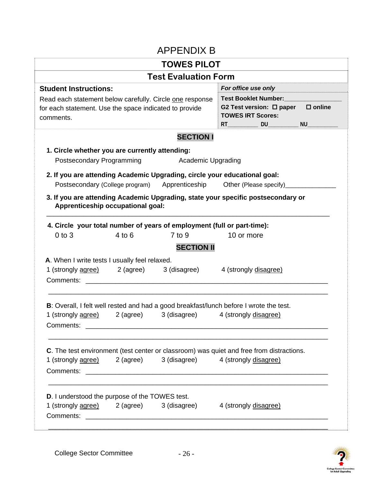| <b>APPENDIX B</b> |  |
|-------------------|--|
|-------------------|--|

<span id="page-28-0"></span>

|                                                                                                                                 |           | <b>TOWES PILOT</b>                                                                                                                                  |                                                                                                                 |
|---------------------------------------------------------------------------------------------------------------------------------|-----------|-----------------------------------------------------------------------------------------------------------------------------------------------------|-----------------------------------------------------------------------------------------------------------------|
|                                                                                                                                 |           | <b>Test Evaluation Form</b>                                                                                                                         |                                                                                                                 |
| <b>Student Instructions:</b>                                                                                                    |           |                                                                                                                                                     | For office use only                                                                                             |
| Read each statement below carefully. Circle one response<br>for each statement. Use the space indicated to provide<br>comments. |           | <b>Test Booklet Number:</b><br>$\square$ online<br>G2 Test version: $\square$ paper<br><b>TOWES IRT Scores:</b><br><b>NU</b><br><b>RT RT</b><br>DU. |                                                                                                                 |
|                                                                                                                                 |           | <b>SECTION I</b>                                                                                                                                    |                                                                                                                 |
| 1. Circle whether you are currently attending:                                                                                  |           |                                                                                                                                                     |                                                                                                                 |
| Postsecondary Programming                                                                                                       |           | Academic Upgrading                                                                                                                                  |                                                                                                                 |
|                                                                                                                                 |           | 2. If you are attending Academic Upgrading, circle your educational goal:                                                                           |                                                                                                                 |
| Postsecondary (College program)                                                                                                 |           | Apprenticeship                                                                                                                                      | Other (Please specify)                                                                                          |
| $0$ to $3$                                                                                                                      | $4$ to 6  | 4. Circle your total number of years of employment (full or part-time):<br>$7$ to 9                                                                 | 10 or more                                                                                                      |
|                                                                                                                                 |           | <b>SECTION II</b>                                                                                                                                   |                                                                                                                 |
| A. When I write tests I usually feel relaxed.                                                                                   |           |                                                                                                                                                     |                                                                                                                 |
| 1 (strongly agree)                                                                                                              |           | 2 (agree) 3 (disagree)                                                                                                                              | 4 (strongly disagree)                                                                                           |
| Comments:                                                                                                                       |           |                                                                                                                                                     |                                                                                                                 |
|                                                                                                                                 |           |                                                                                                                                                     |                                                                                                                 |
| 1 (strongly agree)<br>Comments:                                                                                                 | 2 (agree) | 3 (disagree)                                                                                                                                        | B: Overall, I felt well rested and had a good breakfast/lunch before I wrote the test.<br>4 (strongly disagree) |
|                                                                                                                                 |           |                                                                                                                                                     | C. The test environment (test center or classroom) was quiet and free from distractions.                        |
| 1 (strongly agree) 2 (agree)                                                                                                    |           |                                                                                                                                                     | 3 (disagree) 4 (strongly disagree)                                                                              |
| <b>D.</b> I understood the purpose of the TOWES test.                                                                           |           |                                                                                                                                                     |                                                                                                                 |